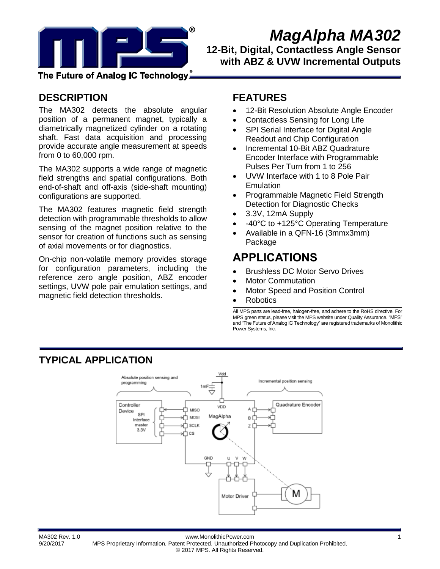

# *MagAlpha MA302*

**12-Bit, Digital, Contactless Angle Sensor with ABZ & UVW Incremental Outputs** 

The Future of Analog IC Technology،ّ

### **DESCRIPTION**

The MA302 detects the absolute angular position of a permanent magnet, typically a diametrically magnetized cylinder on a rotating shaft. Fast data acquisition and processing provide accurate angle measurement at speeds from 0 to 60,000 rpm.

The MA302 supports a wide range of magnetic field strengths and spatial configurations. Both end-of-shaft and off-axis (side-shaft mounting) configurations are supported.

The MA302 features magnetic field strength detection with programmable thresholds to allow sensing of the magnet position relative to the sensor for creation of functions such as sensing of axial movements or for diagnostics.

On-chip non-volatile memory provides storage for configuration parameters, including the reference zero angle position, ABZ encoder settings, UVW pole pair emulation settings, and magnetic field detection thresholds.

### **FEATURES**

- 12-Bit Resolution Absolute Angle Encoder
- Contactless Sensing for Long Life
- SPI Serial Interface for Digital Angle Readout and Chip Configuration
- Incremental 10-Bit ABZ Quadrature Encoder Interface with Programmable Pulses Per Turn from 1 to 256
- UVW Interface with 1 to 8 Pole Pair **Emulation**
- Programmable Magnetic Field Strength Detection for Diagnostic Checks
- 3.3V, 12mA Supply
- -40°C to +125°C Operating Temperature
- Available in a QFN-16 (3mmx3mm) Package

## **APPLICATIONS**

- Brushless DC Motor Servo Drives
- Motor Commutation
- Motor Speed and Position Control
- Robotics

All MPS parts are lead-free, halogen-free, and adhere to the RoHS directive. For MPS green status, please visit the MPS website under Quality Assurance. "MPS" and "The Future of Analog IC Technology" are registered trademarks of Monolithic Power Systems, Inc.

### **TYPICAL APPLICATION**



MA302 Rev. 1.0 www.MonolithicPower.com 1 9/20/2017 MPS Proprietary Information. Patent Protected. Unauthorized Photocopy and Duplication Prohibited. © 2017 MPS. All Rights Reserved.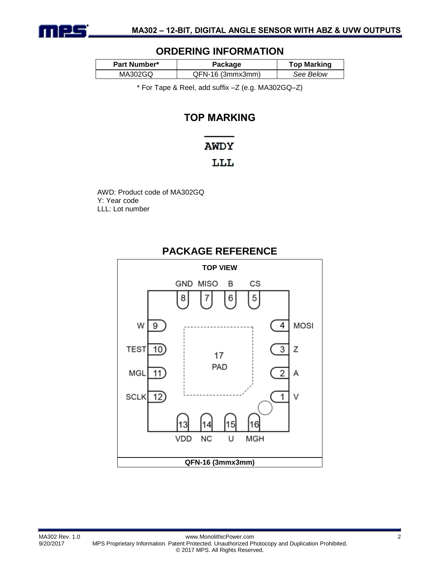

### **ORDERING INFORMATION**

| Part Number* | Package          | <b>Top Marking</b> |  |  |
|--------------|------------------|--------------------|--|--|
| MA302GQ      | QFN-16 (3mmx3mm) | See Below          |  |  |

\* For Tape & Reel, add suffix –Z (e.g. MA302GQ–Z)

### **TOP MARKING**

### **AWDY**

### LLL

AWD: Product code of MA302GQ Y: Year code LLL: Lot number



### **PACKAGE REFERENCE**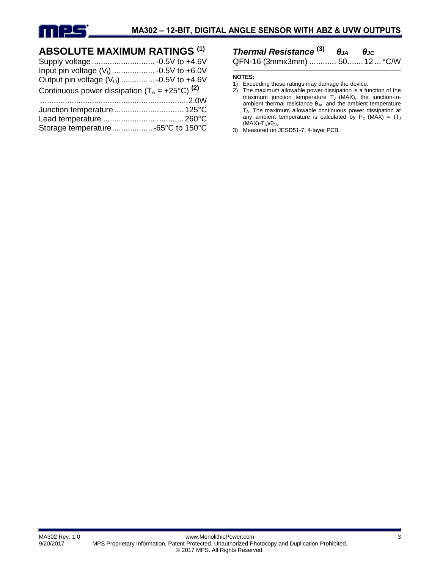

### **ABSOLUTE MAXIMUM RATINGS (1)**

| Output pin voltage $(VO)$ -0.5V to +4.6V                  |
|-----------------------------------------------------------|
| Continuous power dissipation $(T_A = +25^{\circ}C)^{(2)}$ |
|                                                           |
|                                                           |
|                                                           |
|                                                           |
|                                                           |

### *Thermal Resistance* **(3)** *θJA θJC*

QFN-16 (3mmx3mm) ............ 50.......12 ... °C/W

#### **NOTES:**

- 2) The maximum allowable power dissipation is a function of the maximum junction temperature  $T_J$  (MAX), the junction-toambient thermal resistance  $\theta_{JA}$ , and the ambient temperature TA. The maximum allowable continuous power dissipation at any ambient temperature is calculated by  $P_D$  (MAX) = (T<sub>J</sub>  $(MAX)$ -T<sub>A</sub>)/θ<sub>JA</sub>.
- 3) Measured on JESD51-7, 4-layer PCB.

<sup>1)</sup> Exceeding these ratings may damage the device.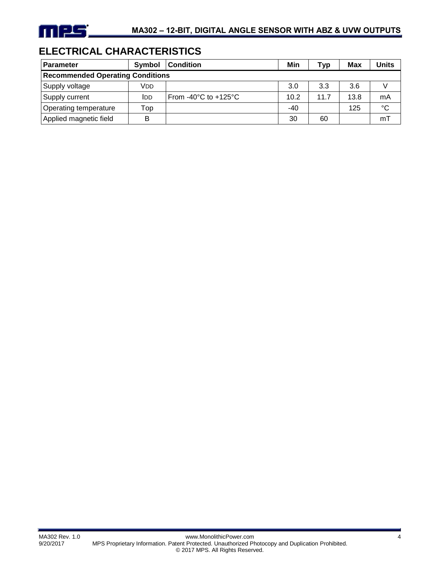### **ELECTRICAL CHARACTERISTICS**

| <b>Parameter</b>                        | Symbol      | <b>Condition</b>                           | Min   | Typ  | <b>Max</b> | <b>Units</b> |
|-----------------------------------------|-------------|--------------------------------------------|-------|------|------------|--------------|
| <b>Recommended Operating Conditions</b> |             |                                            |       |      |            |              |
| Supply voltage                          | Vdd         |                                            | 3.0   | 3.3  | 3.6        |              |
| Supply current                          | <b>I</b> DD | From -40 $^{\circ}$ C to +125 $^{\circ}$ C | 10.2  | 11.7 | 13.8       | mA           |
| Operating temperature                   | Top         |                                            | $-40$ |      | 125        | $^{\circ}C$  |
| Applied magnetic field                  | B           |                                            | 30    | 60   |            | mT           |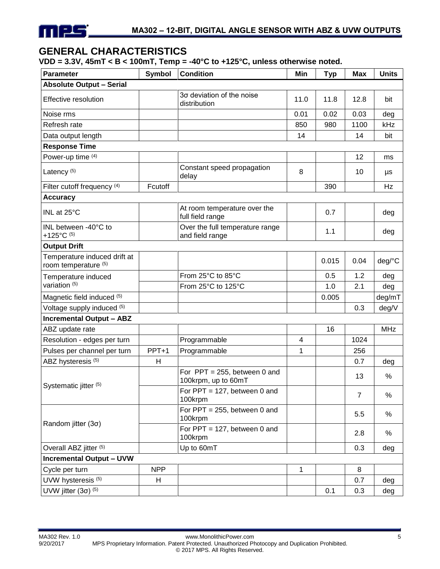### **GENERAL CHARACTERISTICS**

**VDD = 3.3V, 45mT < B < 100mT, Temp = -40°C to +125°C, unless otherwise noted.**

| <b>Parameter</b>                                     | Symbol     | <b>Condition</b>                                       | Min  | <b>Typ</b> | <b>Max</b>     | <b>Units</b> |
|------------------------------------------------------|------------|--------------------------------------------------------|------|------------|----------------|--------------|
| <b>Absolute Output - Serial</b>                      |            |                                                        |      |            |                |              |
| Effective resolution                                 |            | 30 deviation of the noise<br>distribution              | 11.0 | 11.8       | 12.8           | bit          |
| Noise rms                                            |            |                                                        | 0.01 | 0.02       | 0.03           | deg          |
| Refresh rate                                         |            |                                                        | 850  | 980        | 1100           | kHz          |
| Data output length                                   |            |                                                        | 14   |            | 14             | bit          |
| <b>Response Time</b>                                 |            |                                                        |      |            |                |              |
| Power-up time (4)                                    |            |                                                        |      |            | 12             | ms           |
| Latency <sup>(5)</sup>                               |            | Constant speed propagation<br>delay                    | 8    |            | 10             | μs           |
| Filter cutoff frequency (4)                          | Fcutoff    |                                                        |      | 390        |                | Hz           |
| <b>Accuracy</b>                                      |            |                                                        |      |            |                |              |
| INL at 25°C                                          |            | At room temperature over the<br>full field range       |      | 0.7        |                | deg          |
| INL between -40°C to<br>+125°C $(5)$                 |            | Over the full temperature range<br>and field range     |      | 1.1        |                | deg          |
| <b>Output Drift</b>                                  |            |                                                        |      |            |                |              |
| Temperature induced drift at<br>room temperature (5) |            |                                                        |      | 0.015      | 0.04           | deg/°C       |
| Temperature induced                                  |            | From 25°C to 85°C                                      |      | 0.5        | 1.2            | deg          |
| variation <sup>(5)</sup>                             |            | From 25°C to 125°C                                     |      | 1.0        | 2.1            | deg          |
| Magnetic field induced (5)                           |            |                                                        |      | 0.005      |                | deg/mT       |
| Voltage supply induced (5)                           |            |                                                        |      |            | 0.3            | deg/V        |
| <b>Incremental Output - ABZ</b>                      |            |                                                        |      |            |                |              |
| ABZ update rate                                      |            |                                                        |      | 16         |                | <b>MHz</b>   |
| Resolution - edges per turn                          |            | Programmable                                           | 4    |            | 1024           |              |
| Pulses per channel per turn                          | PPT+1      | Programmable                                           | 1    |            | 256            |              |
| ABZ hysteresis (5)                                   | H          |                                                        |      |            | 0.7            | deg          |
| Systematic jitter (5)                                |            | For $PPT = 255$ , between 0 and<br>100krpm, up to 60mT |      |            | 13             | $\%$         |
|                                                      |            | For $PPT = 127$ , between 0 and<br>100krpm             |      |            | $\overline{7}$ | $\%$         |
|                                                      |            | For $PPT = 255$ , between 0 and<br>100krpm             |      |            | 5.5            | %            |
| Random jitter $(3\sigma)$                            |            | For $PPT = 127$ , between 0 and<br>100krpm             |      |            | 2.8            | %            |
| Overall ABZ jitter (5)                               |            | Up to 60mT                                             |      |            | 0.3            | deg          |
| <b>Incremental Output - UVW</b>                      |            |                                                        |      |            |                |              |
| Cycle per turn                                       | <b>NPP</b> |                                                        | 1    |            | 8              |              |
| UVW hysteresis <sup>(5)</sup>                        | H          |                                                        |      |            | 0.7            | deg          |
| UVW jitter $(3\sigma)$ <sup>(5)</sup>                |            |                                                        |      | 0.1        | 0.3            | deg          |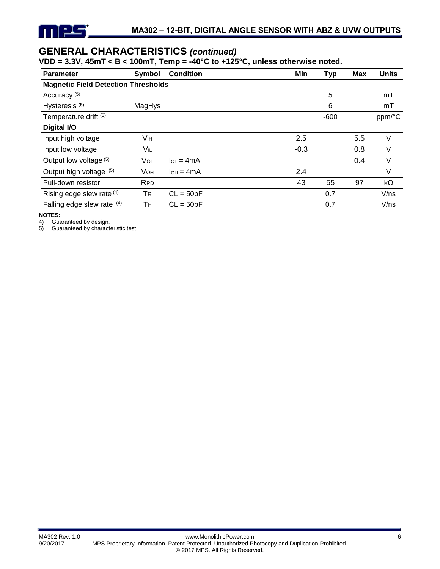### **GENERAL CHARACTERISTICS** *(continued)*

#### **VDD = 3.3V, 45mT < B < 100mT, Temp = -40°C to +125°C, unless otherwise noted.**

| <b>Parameter</b>                           | Symbol     | <b>Condition</b> | Min    | <b>Typ</b> | <b>Max</b> | <b>Units</b> |  |  |
|--------------------------------------------|------------|------------------|--------|------------|------------|--------------|--|--|
| <b>Magnetic Field Detection Thresholds</b> |            |                  |        |            |            |              |  |  |
| Accuracy <sup>(5)</sup>                    |            |                  |        | 5          |            | mT           |  |  |
| Hysteresis <sup>(5)</sup>                  | MagHys     |                  |        | 6          |            | mT           |  |  |
| Temperature drift (5)                      |            |                  |        | $-600$     |            | ppm/°C       |  |  |
| Digital I/O                                |            |                  |        |            |            |              |  |  |
| Input high voltage                         | Vıн        |                  | 2.5    |            | 5.5        | V            |  |  |
| Input low voltage                          | V⊫         |                  | $-0.3$ |            | 0.8        | V            |  |  |
| Output low voltage (5)                     | Vol        | $I_{OL} = 4mA$   |        |            | 0.4        | V            |  |  |
| Output high voltage (5)                    | Vон        | $I_{OH} = 4mA$   | 2.4    |            |            | V            |  |  |
| Pull-down resistor                         | <b>RPD</b> |                  | 43     | 55         | 97         | $k\Omega$    |  |  |
| Rising edge slew rate (4)                  | <b>TR</b>  | $CL = 50pF$      |        | 0.7        |            | V/ns         |  |  |
| Falling edge slew rate (4)                 | TF         | $CL = 50pF$      |        | 0.7        |            | V/ns         |  |  |

**NOTES:**<br>4) Gua

4) Guaranteed by design.<br>5) Guaranteed by characte Guaranteed by characteristic test.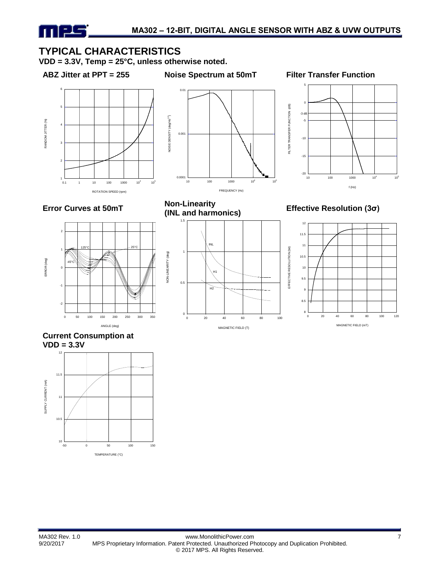### **TYPICAL CHARACTERISTICS**

**VDD = 3.3V, Temp = 25°C, unless otherwise noted.**

TIFLE

**ABZ Jitter at PPT = 255 Noise Spectrum at 50mT Filter Transfer Function**













**Effective Resolution (3σ)** 



**Current Consumption at VDD = 3.3V**

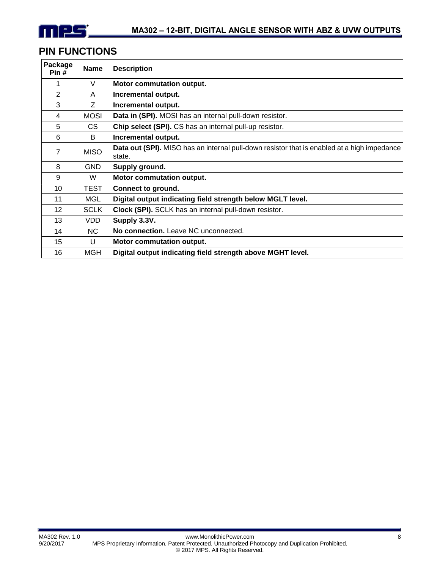

### **PIN FUNCTIONS**

| Package<br>Pin# | <b>Name</b> | <b>Description</b>                                                                                    |
|-----------------|-------------|-------------------------------------------------------------------------------------------------------|
|                 | V           | <b>Motor commutation output.</b>                                                                      |
| $\overline{2}$  | A           | Incremental output.                                                                                   |
| 3               | Z           | Incremental output.                                                                                   |
| 4               | <b>MOSI</b> | Data in (SPI). MOSI has an internal pull-down resistor.                                               |
| 5               | CS.         | Chip select (SPI). CS has an internal pull-up resistor.                                               |
| 6               | B           | Incremental output.                                                                                   |
| $\overline{7}$  | <b>MISO</b> | Data out (SPI). MISO has an internal pull-down resistor that is enabled at a high impedance<br>state. |
| 8               | <b>GND</b>  | Supply ground.                                                                                        |
| 9               | W           | Motor commutation output.                                                                             |
| 10              | TEST        | <b>Connect to ground.</b>                                                                             |
| 11              | MGL         | Digital output indicating field strength below MGLT level.                                            |
| 12 <sup>2</sup> | <b>SCLK</b> | Clock (SPI). SCLK has an internal pull-down resistor.                                                 |
| 13              | VDD.        | Supply 3.3V.                                                                                          |
| 14              | NC.         | No connection. Leave NC unconnected.                                                                  |
| 15              | U           | <b>Motor commutation output.</b>                                                                      |
| 16              | <b>MGH</b>  | Digital output indicating field strength above MGHT level.                                            |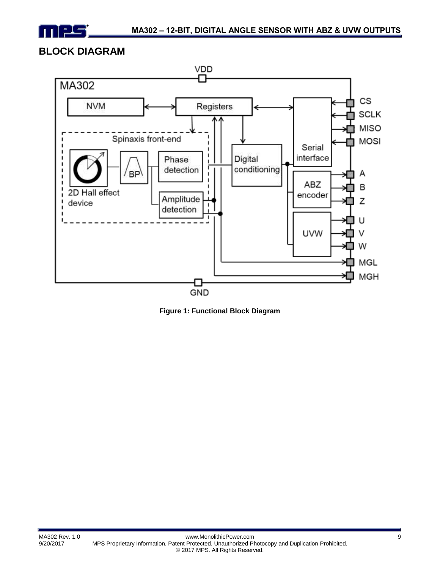

### **BLOCK DIAGRAM**



**Figure 1: Functional Block Diagram**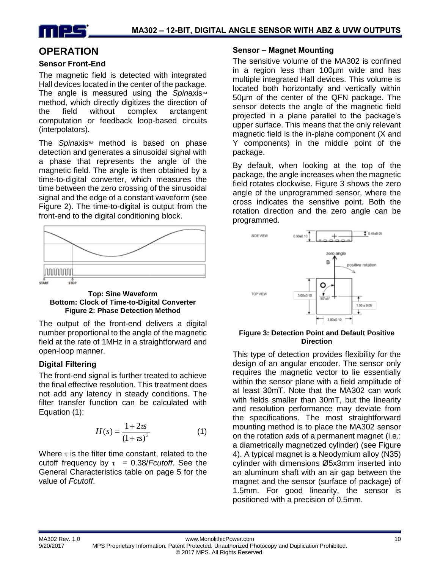

### **OPERATION**

#### **Sensor Front-End**

The magnetic field is detected with integrated Hall devices located in the center of the package. The angle is measured using the *Spinaxis*<sup>™</sup> method, which directly digitizes the direction of the field without complex arctangent computation or feedback loop-based circuits (interpolators).

The *Spinaxis*<sup>™</sup> method is based on phase detection and generates a sinusoidal signal with a phase that represents the angle of the magnetic field. The angle is then obtained by a time-to-digital converter, which measures the time between the zero crossing of the sinusoidal signal and the edge of a constant waveform (see Figure 2). The time-to-digital is output from the front-end to the digital conditioning block.



**Top: Sine Waveform Bottom: Clock of Time-to-Digital Converter Figure 2: Phase Detection Method**

The output of the front-end delivers a digital number proportional to the angle of the magnetic field at the rate of 1MHz in a straightforward and open-loop manner.

#### **Digital Filtering**

The front-end signal is further treated to achieve the final effective resolution. This treatment does not add any latency in steady conditions. The filter transfer function can be calculated with Equation (1):

$$
H(s) = \frac{1 + 2\pi}{(1 + \pi)^2}
$$
 (1)

Where  $\tau$  is the filter time constant, related to the cutoff frequency by  $\tau = 0.38$ /*Fcutoff*. See the General Characteristics table on page 5 for the value of *Fcutoff*.

#### **Sensor – Magnet Mounting**

The sensitive volume of the MA302 is confined in a region less than 100µm wide and has multiple integrated Hall devices. This volume is located both horizontally and vertically within 50µm of the center of the QFN package. The sensor detects the angle of the magnetic field projected in a plane parallel to the package's upper surface. This means that the only relevant magnetic field is the in-plane component (X and Y components) in the middle point of the package.

By default, when looking at the top of the package, the angle increases when the magnetic field rotates clockwise. Figure 3 shows the zero angle of the unprogrammed sensor, where the cross indicates the sensitive point. Both the rotation direction and the zero angle can be programmed.



#### **Figure 3: Detection Point and Default Positive Direction**

This type of detection provides flexibility for the design of an angular encoder. The sensor only requires the magnetic vector to lie essentially within the sensor plane with a field amplitude of at least 30mT. Note that the MA302 can work with fields smaller than 30mT, but the linearity and resolution performance may deviate from the specifications. The most straightforward mounting method is to place the MA302 sensor on the rotation axis of a permanent magnet (i.e.: a diametrically magnetized cylinder) (see Figure 4). A typical magnet is a Neodymium alloy (N35) cylinder with dimensions Ø5x3mm inserted into an aluminum shaft with an air gap between the magnet and the sensor (surface of package) of 1.5mm. For good linearity, the sensor is positioned with a precision of 0.5mm.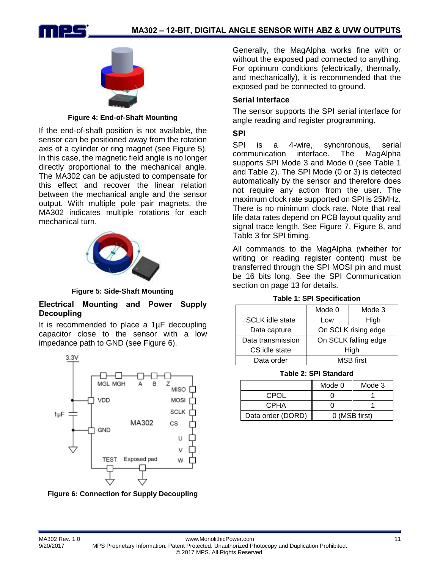



**Figure 4: End-of-Shaft Mounting**

If the end-of-shaft position is not available, the sensor can be positioned away from the rotation axis of a cylinder or ring magnet (see Figure 5). In this case, the magnetic field angle is no longer directly proportional to the mechanical angle. The MA302 can be adjusted to compensate for this effect and recover the linear relation between the mechanical angle and the sensor output. With multiple pole pair magnets, the MA302 indicates multiple rotations for each mechanical turn.



**Figure 5: Side-Shaft Mounting**

#### **Electrical Mounting and Power Supply Decoupling**

It is recommended to place a 1µF decoupling capacitor close to the sensor with a low impedance path to GND (see Figure 6).



**Figure 6: Connection for Supply Decoupling**

Generally, the MagAlpha works fine with or without the exposed pad connected to anything. For optimum conditions (electrically, thermally, and mechanically), it is recommended that the exposed pad be connected to ground.

#### **Serial Interface**

The sensor supports the SPI serial interface for angle reading and register programming.

#### **SPI**

SPI is a 4-wire, synchronous, serial communication interface. The MagAlpha supports SPI Mode 3 and Mode 0 (see Table 1 and Table 2). The SPI Mode (0 or 3) is detected automatically by the sensor and therefore does not require any action from the user. The maximum clock rate supported on SPI is 25MHz. There is no minimum clock rate. Note that real life data rates depend on PCB layout quality and signal trace length. See Figure 7, Figure 8, and Table 3 for SPI timing.

All commands to the MagAlpha (whether for writing or reading register content) must be transferred through the SPI MOSI pin and must be 16 bits long. See the SPI Communication section on page 13 for details.

| <b>Table 1: SPI Specification</b> |  |  |  |
|-----------------------------------|--|--|--|
|-----------------------------------|--|--|--|

|                        | Mode 0              | Mode 3               |  |
|------------------------|---------------------|----------------------|--|
| <b>SCLK</b> idle state | Low                 | High                 |  |
| Data capture           | On SCLK rising edge |                      |  |
| Data transmission      |                     | On SCLK falling edge |  |
| CS idle state          | High                |                      |  |
| Data order             | <b>MSB</b> first    |                      |  |

**Table 2: SPI Standard**

|                   | Mode 0        | Mode 3 |
|-------------------|---------------|--------|
| CPOL              |               |        |
| <b>CPHA</b>       |               |        |
| Data order (DORD) | 0 (MSB first) |        |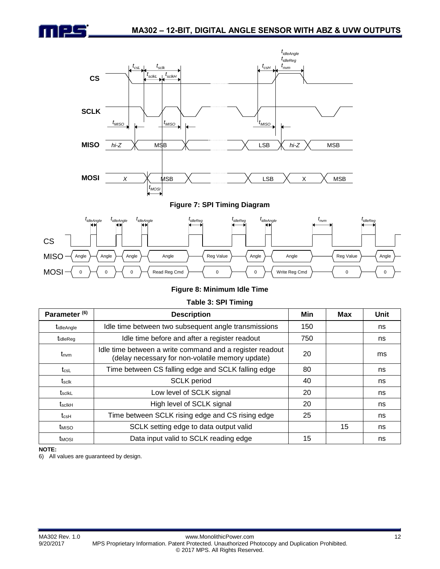



#### **Figure 7: SPI Timing Diagram**



#### **Figure 8: Minimum Idle Time**

#### **Table 3: SPI Timing**

| Parameter <sup>(6)</sup> | <b>Description</b>                                                                                           | Min | <b>Max</b> | Unit |
|--------------------------|--------------------------------------------------------------------------------------------------------------|-----|------------|------|
| tidleAngle               | Idle time between two subsequent angle transmissions                                                         | 150 |            | ns   |
| tidleReg                 | Idle time before and after a register readout                                                                | 750 |            | ns   |
| $t_{\text{num}}$         | Idle time between a write command and a register readout<br>(delay necessary for non-volatile memory update) | 20  |            | ms   |
| $t_{\rm csl}$            | Time between CS falling edge and SCLK falling edge                                                           | 80  |            | ns   |
| $t_{\rm sclk}$           | <b>SCLK</b> period                                                                                           | 40  |            | ns   |
| tscikL                   | Low level of SCLK signal                                                                                     | 20  |            | ns   |
| $t_{\rm scIkH}$          | High level of SCLK signal                                                                                    | 20  |            | ns   |
| $t_{\rm csH}$            | Time between SCLK rising edge and CS rising edge                                                             | 25  |            | ns   |
| t <sub>MISO</sub>        | SCLK setting edge to data output valid                                                                       |     | 15         | ns   |
| t <sub>MOSI</sub>        | Data input valid to SCLK reading edge                                                                        | 15  |            | ns   |

#### **NOTE:**

6) All values are guaranteed by design.

96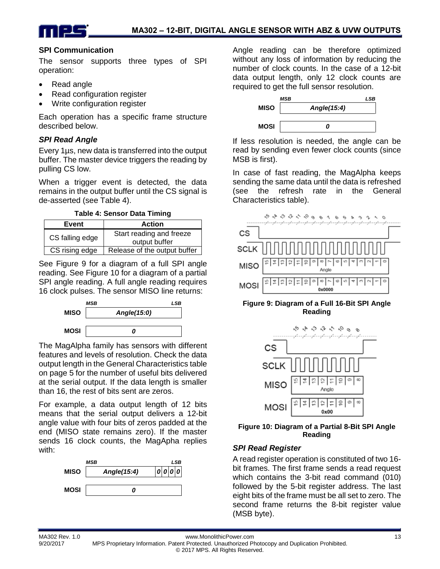



#### **SPI Communication**

The sensor supports three types of SPI operation:

- Read angle
- Read configuration register
- Write configuration register

Each operation has a specific frame structure described below.

#### *SPI Read Angle*

Every 1µs, new data is transferred into the output buffer. The master device triggers the reading by pulling CS low.

When a trigger event is detected, the data remains in the output buffer until the CS signal is de-asserted (see Table 4).

**Table 4: Sensor Data Timing**

| Event           | <b>Action</b>                             |
|-----------------|-------------------------------------------|
| CS falling edge | Start reading and freeze<br>output buffer |
| CS rising edge  | Release of the output buffer              |

See [Figure 9](#page-12-0) for a diagram of a full SPI angle reading. See Figure 10 for a diagram of a partial SPI angle reading. A full angle reading requires 16 clock pulses. The sensor MISO line returns:



The MagAlpha family has sensors with different features and levels of resolution. Check the data output length in the General Characteristics table on page 5 for the number of useful bits delivered at the serial output. If the data length is smaller than 16, the rest of bits sent are zeros.

For example, a data output length of 12 bits means that the serial output delivers a 12-bit angle value with four bits of zeros padded at the end (MISO state remains zero). If the master sends 16 clock counts, the MagApha replies with:



Angle reading can be therefore optimized without any loss of information by reducing the number of clock counts. In the case of a 12-bit data output length, only 12 clock counts are required to get the full sensor resolution.



If less resolution is needed, the angle can be read by sending even fewer clock counts (since MSB is first).

In case of fast reading, the MagAlpha keeps sending the same data until the data is refreshed (see the refresh rate in the General Characteristics table).



#### <span id="page-12-0"></span>**Figure 9: Diagram of a Full 16-Bit SPI Angle Reading**



**Figure 10: Diagram of a Partial 8-Bit SPI Angle Reading**

#### *SPI Read Register*

A read register operation is constituted of two 16 bit frames. The first frame sends a read request which contains the 3-bit read command (010) followed by the 5-bit register address. The last eight bits of the frame must be all set to zero. The second frame returns the 8-bit register value (MSB byte).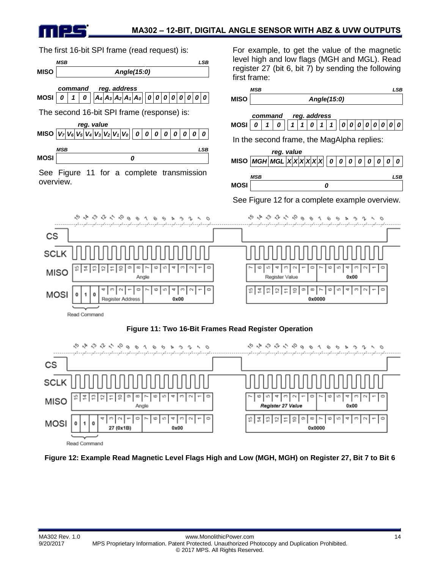

The first 16-bit SPI frame (read request) is:



<span id="page-13-0"></span>Read Command

<span id="page-13-1"></span>**Figure 12: Example Read Magnetic Level Flags High and Low (MGH, MGH) on Register 27, Bit 7 to Bit 6**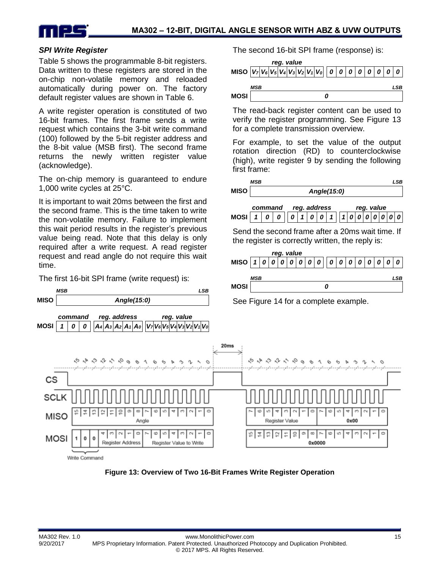

first frame:

The second 16-bit SPI frame (response) is:

**MISO** *V<sup>7</sup> V<sup>6</sup> V<sup>5</sup> V<sup>4</sup> V<sup>3</sup> V<sup>2</sup> V<sup>1</sup> V<sup>0</sup> 0 0 0 0 0 0 0 0*

The read-back register content can be used to verify the register programming. See [Figure 13](#page-14-0)

For example, to set the value of the output rotation direction (RD) to counterclockwise (high), write register 9 by sending the following

*MSB LSB*

*command reg. address reg. value* **MOSI** *1 0 0 0 1 0 0 1 1 0 0 0 0 0 0 0*

Send the second frame after a 20ms wait time. If the register is correctly written, the reply is:

**MISO** *1 0 0 0 0 0 0 0 0 0 0 0 0 0 0 0*

*MSB LSB*

for a complete transmission overview.

**MISO** *Angle(15:0)*

*reg. value*

*MSB LSB*

*reg. value*

**MOSI** *0*

#### *SPI Write Register*

Table 5 shows the programmable 8-bit registers. Data written to these registers are stored in the on-chip non-volatile memory and reloaded automatically during power on. The factory default register values are shown in [Table](#page-16-0) 6.

A write register operation is constituted of two 16-bit frames. The first frame sends a write request which contains the 3-bit write command (100) followed by the 5-bit register address and the 8-bit value (MSB first). The second frame returns the newly written register value (acknowledge).

The on-chip memory is guaranteed to endure 1,000 write cycles at 25°C.

It is important to wait 20ms between the first and the second frame. This is the time taken to write the non-volatile memory. Failure to implement this wait period results in the register's previous value being read. Note that this delay is only required after a write request. A read register request and read angle do not require this wait time.

The first 16-bit SPI frame (write request) is:



<span id="page-14-0"></span>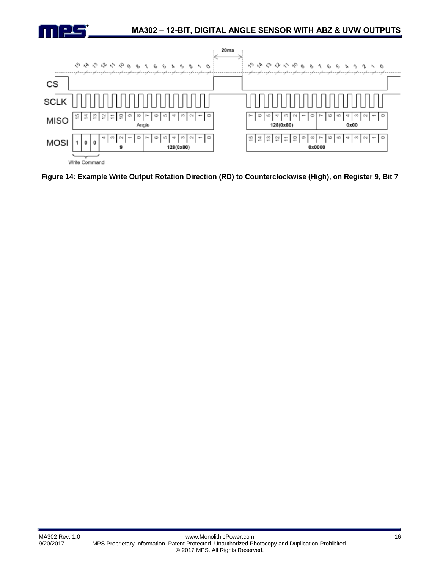



<span id="page-15-0"></span>**Figure 14: Example Write Output Rotation Direction (RD) to Counterclockwise (High), on Register 9, Bit 7**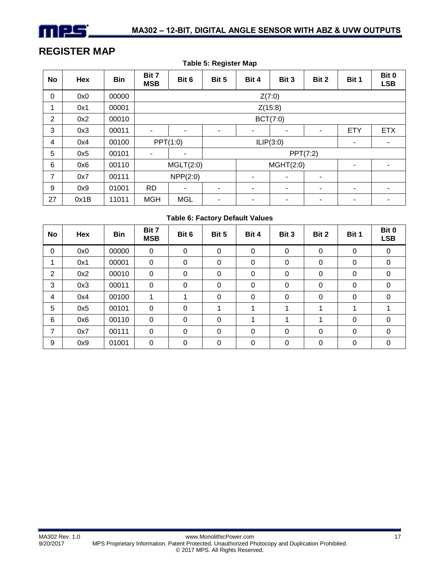

### **REGISTER MAP**

|                | <b>Table 5: Register Map</b> |       |                     |                          |       |                |                          |                |                          |                     |
|----------------|------------------------------|-------|---------------------|--------------------------|-------|----------------|--------------------------|----------------|--------------------------|---------------------|
| No             | Hex                          | Bin   | Bit 7<br><b>MSB</b> | Bit 6                    | Bit 5 | Bit 4          | Bit 3                    | Bit 2          | Bit 1                    | Bit 0<br><b>LSB</b> |
| $\mathbf 0$    | 0x0                          | 00000 |                     | Z(7:0)                   |       |                |                          |                |                          |                     |
| 1              | 0x1                          | 00001 |                     | Z(15:8)                  |       |                |                          |                |                          |                     |
| $\overline{2}$ | 0x2                          | 00010 |                     | BCT(7:0)                 |       |                |                          |                |                          |                     |
| 3              | 0x3                          | 00011 | ٠                   | $\overline{\phantom{a}}$ | ٠     | $\blacksquare$ | $\overline{\phantom{a}}$ | $\blacksquare$ | <b>ETY</b>               | <b>ETX</b>          |
| 4              | 0x4                          | 00100 |                     | PPT(1:0)                 |       |                | ILIP(3:0)                |                | $\blacksquare$           | $\blacksquare$      |
| 5              | 0x5                          | 00101 | ٠                   | ۰                        |       |                |                          | PPT(7:2)       |                          |                     |
| 6              | 0x6                          | 00110 |                     | MGLT(2:0)                |       |                | MGHT(2:0)                |                |                          |                     |
| 7              | 0x7                          | 00111 |                     | NPP(2:0)                 |       | ۰              | ٠                        | ۰              |                          |                     |
| 9              | 0x9                          | 01001 | <b>RD</b>           |                          | ٠     | ۰              | ۰                        | ۰              | $\overline{\phantom{a}}$ | $\blacksquare$      |
| 27             | 0x1B                         | 11011 | <b>MGH</b>          | <b>MGL</b>               | ۰     | -              | ۰                        | -              | ۰                        | -                   |

#### **Table 6: Factory Default Values**

<span id="page-16-0"></span>

| No             | Hex | <b>Bin</b> | Bit 7<br><b>MSB</b> | Bit 6    | Bit 5       | Bit 4       | Bit 3       | Bit 2    | Bit 1 | Bit 0<br><b>LSB</b> |
|----------------|-----|------------|---------------------|----------|-------------|-------------|-------------|----------|-------|---------------------|
| 0              | 0x0 | 00000      | $\boldsymbol{0}$    | 0        | $\mathbf 0$ | 0           | 0           | 0        | 0     | 0                   |
| 1              | 0x1 | 00001      | 0                   | 0        | $\mathbf 0$ | 0           | 0           | 0        | 0     | 0                   |
| $\overline{2}$ | 0x2 | 00010      | 0                   | 0        | 0           | 0           | 0           | 0        | 0     | 0                   |
| 3              | 0x3 | 00011      | 0                   | $\Omega$ | 0           | 0           | 0           | $\Omega$ | 0     | 0                   |
| 4              | 0x4 | 00100      | 1                   |          | 0           | $\mathbf 0$ | $\mathbf 0$ | 0        | 0     | 0                   |
| 5              | 0x5 | 00101      | 0                   | 0        |             |             | 4           | 1        | 1     |                     |
| 6              | 0x6 | 00110      | 0                   | $\Omega$ | 0           |             |             |          | 0     | 0                   |
| 7              | 0x7 | 00111      | 0                   | 0        | 0           | 0           | 0           | 0        | 0     | 0                   |
| 9              | 0x9 | 01001      | 0                   | 0        | 0           | 0           | 0           | 0        | 0     | 0                   |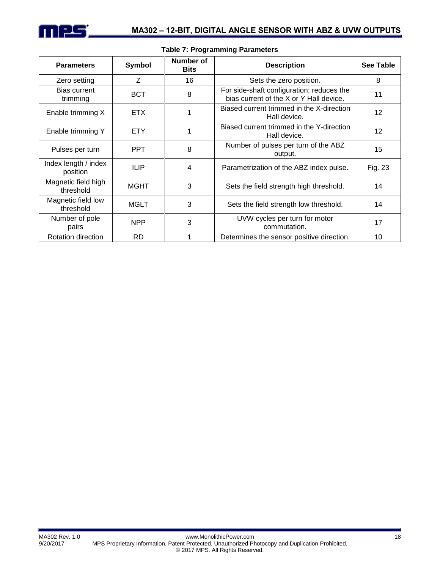

| <b>Parameters</b>                | Symbol      | Number of<br><b>Bits</b> | <b>Description</b>                                                                   | See Table |
|----------------------------------|-------------|--------------------------|--------------------------------------------------------------------------------------|-----------|
| Zero setting                     | Z           | 16                       | Sets the zero position.                                                              | 8         |
| Bias current<br>trimming         | <b>BCT</b>  | 8                        | For side-shaft configuration: reduces the<br>bias current of the X or Y Hall device. | 11        |
| Enable trimming X                | <b>ETX</b>  |                          | Biased current trimmed in the X-direction<br>Hall device.                            | 12        |
| Enable trimming Y                | <b>ETY</b>  |                          | Biased current trimmed in the Y-direction<br>Hall device.                            | 12        |
| Pulses per turn                  | <b>PPT</b>  | 8                        | Number of pulses per turn of the ABZ<br>output.                                      | 15        |
| Index length / index<br>position | <b>ILIP</b> | $\overline{\mathbf{4}}$  | Parametrization of the ABZ index pulse.                                              | Fig. 23   |
| Magnetic field high<br>threshold | MGHT        | 3                        | Sets the field strength high threshold.                                              | 14        |
| Magnetic field low<br>threshold  | <b>MGLT</b> | 3                        | Sets the field strength low threshold.                                               | 14        |
| Number of pole<br>pairs          | <b>NPP</b>  | 3                        | UVW cycles per turn for motor<br>commutation.                                        | 17        |
| <b>Rotation direction</b>        | RD          |                          | Determines the sensor positive direction.                                            | 10        |

#### **Table 7: Programming Parameters**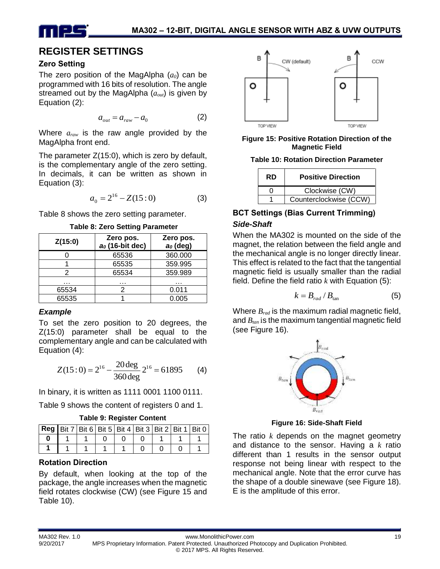

### **REGISTER SETTINGS**

#### **Zero Setting**

The zero position of the MagAlpha (*a0*) can be programmed with 16 bits of resolution. The angle streamed out by the MagAlpha (*aout*) is given by Equation (2):

$$
a_{out} = a_{raw} - a_0 \tag{2}
$$

Where *araw* is the raw angle provided by the MagAlpha front end.

The parameter Z(15:0), which is zero by default, is the complementary angle of the zero setting. In decimals, it can be written as shown in Equation (3):

$$
a_0 = 2^{16} - Z(15:0)
$$
 (3)

Table 8 shows the zero setting parameter.

**Table 8: Zero Setting Parameter**

| Z(15:0) | Zero pos.<br>ao (16-bit dec) | Zero pos.<br>$a0$ (deg) |
|---------|------------------------------|-------------------------|
|         | 65536                        | 360.000                 |
|         | 65535                        | 359.995                 |
|         | 65534                        | 359.989                 |
| .       | .                            | .                       |
| 65534   |                              | 0.011                   |
| 65535   |                              | 0.005                   |

#### *Example*

To set the zero position to 20 degrees, the Z(15:0) parameter shall be equal to the complementary angle and can be calculated with Equation (4):

$$
Z(15:0) = 2^{16} - \frac{20 \text{ deg}}{360 \text{ deg}} 2^{16} = 61895
$$
 (4)

In binary, it is written as 1111 0001 1100 0111.

Table 9 shows the content of registers 0 and 1.

| <b>Reg   Bit 7   Bit 6   Bit 5   Bit 4   Bit 3   Bit 2   Bit 1   Bit 0</b> |  |  |  |  |
|----------------------------------------------------------------------------|--|--|--|--|
|                                                                            |  |  |  |  |
|                                                                            |  |  |  |  |

#### **Rotation Direction**

By default, when looking at the top of the package, the angle increases when the magnetic field rotates clockwise (CW) (see Figure 15 and Table 10).



**Figure 15: Positive Rotation Direction of the Magnetic Field**

**Table 10: Rotation Direction Parameter**

| <b>RD</b> | <b>Positive Direction</b> |
|-----------|---------------------------|
|           | Clockwise (CW)            |
|           | Counterclockwise (CCW)    |

### **BCT Settings (Bias Current Trimming)** *Side-Shaft*

When the MA302 is mounted on the side of the magnet, the relation between the field angle and the mechanical angle is no longer directly linear. This effect is related to the fact that the tangential magnetic field is usually smaller than the radial field. Define the field ratio  $k$  with Equation  $(5)$ :

$$
k = B_{rad} / B_{tan} \tag{5}
$$

Where *Brad* is the maximum radial magnetic field, and *Btan* is the maximum tangential magnetic field (see Figure 16).



**Figure 16: Side-Shaft Field**

The ratio *k* depends on the magnet geometry and distance to the sensor. Having a *k* ratio different than 1 results in the sensor output response not being linear with respect to the mechanical angle. Note that the error curve has the shape of a double sinewave (see Figure 18). E is the amplitude of this error.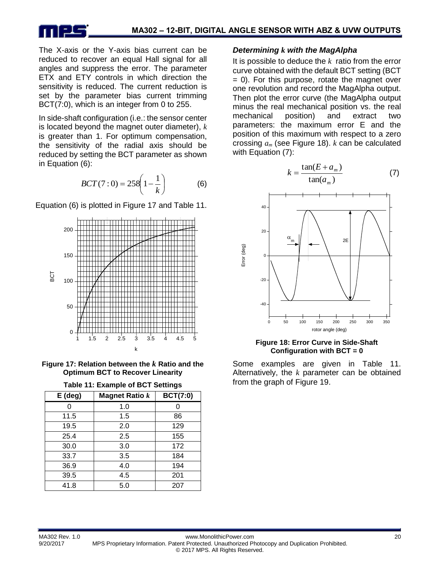

The X-axis or the Y-axis bias current can be reduced to recover an equal Hall signal for all angles and suppress the error. The parameter ETX and ETY controls in which direction the sensitivity is reduced. The current reduction is set by the parameter bias current trimming BCT(7:0), which is an integer from 0 to 255.

In side-shaft configuration (i.e.: the sensor center is located beyond the magnet outer diameter), *k* is greater than 1. For optimum compensation, the sensitivity of the radial axis should be reduced by setting the BCT parameter as shown in Equation (6):

$$
BCT(7:0) = 258\left(1 - \frac{1}{k}\right) \tag{6}
$$

Equation (6) is plotted in Figure 17 and Table 11.



**Figure 17: Relation between the** *k* **Ratio and the Optimum BCT to Recover Linearity**

| Table 11: Example of BCT Settings |  |  |  |
|-----------------------------------|--|--|--|
|-----------------------------------|--|--|--|

| $E$ (deg) | <b>Magnet Ratio k</b> | <b>BCT(7:0)</b> |
|-----------|-----------------------|-----------------|
|           | 1.0                   |                 |
| 11.5      | 1.5                   | 86              |
| 19.5      | 2.0                   | 129             |
| 25.4      | 2.5                   | 155             |
| 30.0      | 3.0                   | 172             |
| 33.7      | 3.5                   | 184             |
| 36.9      | 4.0                   | 194             |
| 39.5      | 4.5                   | 201             |
| 41.8      | 5.0                   | 207             |

#### *Determining k with the MagAlpha*

It is possible to deduce the *k* ratio from the error curve obtained with the default BCT setting (BCT  $= 0$ ). For this purpose, rotate the magnet over one revolution and record the MagAlpha output. Then plot the error curve (the MagAlpha output minus the real mechanical position vs. the real mechanical position) and extract two parameters: the maximum error E and the position of this maximum with respect to a zero crossing *a<sup>m</sup>* (see Figure 18). *k* can be calculated with Equation (7):



**Figure 18: Error Curve in Side-Shaft Configuration with BCT = 0**

Some examples are given in Table 11. Alternatively, the *k* parameter can be obtained from the graph of Figure 19.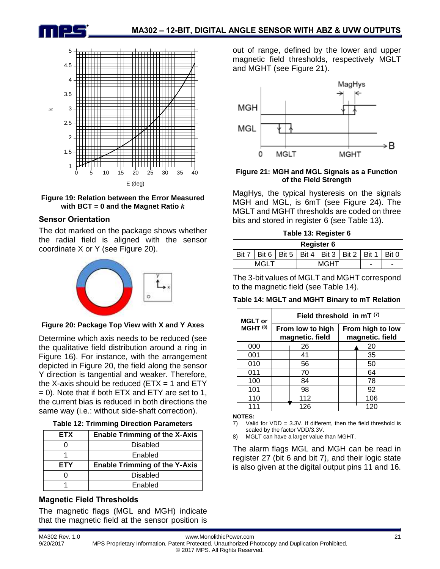





#### **Sensor Orientation**

The dot marked on the package shows whether the radial field is aligned with the sensor coordinate X or Y (see Figure 20).



#### **Figure 20: Package Top View with X and Y Axes**

Determine which axis needs to be reduced (see the qualitative field distribution around a ring in Figure 16). For instance, with the arrangement depicted in Figure 20, the field along the sensor Y direction is tangential and weaker. Therefore, the X-axis should be reduced ( $ETX = 1$  and  $ETY$  $= 0$ ). Note that if both ETX and ETY are set to 1, the current bias is reduced in both directions the same way (i.e.: without side-shaft correction).

| <b>ETX</b> | <b>Enable Trimming of the X-Axis</b> |  |  |  |  |  |
|------------|--------------------------------------|--|--|--|--|--|
|            | <b>Disabled</b>                      |  |  |  |  |  |
|            | Enabled                              |  |  |  |  |  |
|            |                                      |  |  |  |  |  |
| <b>ETY</b> | <b>Enable Trimming of the Y-Axis</b> |  |  |  |  |  |
|            | <b>Disabled</b>                      |  |  |  |  |  |

### **Magnetic Field Thresholds**

The magnetic flags (MGL and MGH) indicate that the magnetic field at the sensor position is out of range, defined by the lower and upper magnetic field thresholds, respectively MGLT and MGHT (see Figure 21).



#### **Figure 21: MGH and MGL Signals as a Function of the Field Strength**

MagHys, the typical hysteresis on the signals MGH and MGL, is 6mT (see Figure 24). The MGLT and MGHT thresholds are coded on three bits and stored in register 6 (see Table 13).

|  | Table 13: Register 6 |  |
|--|----------------------|--|
|  |                      |  |

| <b>Register 6</b> |                                                               |  |  |  |  |  |   |  |
|-------------------|---------------------------------------------------------------|--|--|--|--|--|---|--|
|                   | Bit 7   Bit 6   Bit 5   Bit 4   Bit 3   Bit 2   Bit 1   Bit 0 |  |  |  |  |  |   |  |
| MGI T<br>MGHT     |                                                               |  |  |  |  |  | - |  |

The 3-bit values of MGLT and MGHT correspond to the magnetic field (see Table 14).

#### **Table 14: MGLT and MGHT Binary to mT Relation**

| <b>MGLT</b> or        | Field threshold in $mT$ <sup>(7)</sup> |                                     |                                     |     |  |  |
|-----------------------|----------------------------------------|-------------------------------------|-------------------------------------|-----|--|--|
| $MGHT$ <sup>(8)</sup> |                                        | From low to high<br>magnetic. field | From high to low<br>magnetic. field |     |  |  |
| 000                   |                                        | 26                                  |                                     | 20  |  |  |
| 001                   |                                        | 41                                  |                                     | 35  |  |  |
| 010                   |                                        | 56                                  |                                     | 50  |  |  |
| 011                   |                                        | 70                                  |                                     | 64  |  |  |
| 100                   |                                        | 84                                  |                                     | 78  |  |  |
| 101                   |                                        | 98                                  |                                     | 92  |  |  |
| 110                   |                                        | 112                                 |                                     | 106 |  |  |
| 111                   |                                        | 126                                 |                                     | 120 |  |  |

#### **NOTES:**

7) Valid for  $VDD = 3.3V$ . If different, then the field threshold is scaled by the factor VDD/3.3V.

8) MGLT can have a larger value than MGHT.

The alarm flags MGL and MGH can be read in register 27 (bit 6 and bit 7), and their logic state is also given at the digital output pins 11 and 16.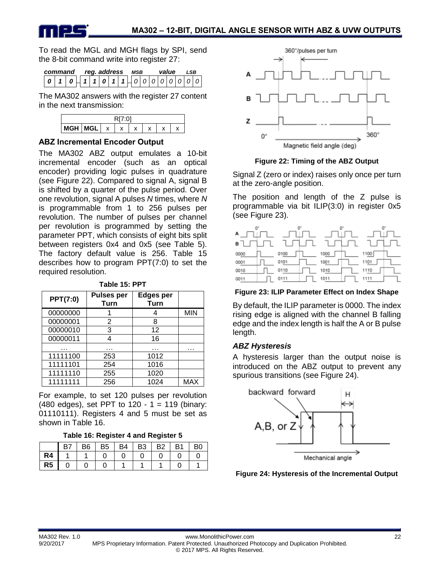

To read the MGL and MGH flags by SPI, send the 8-bit command write into register 27:

| command |                     |  | rea. address |  | MSB |  | value | SR |  |
|---------|---------------------|--|--------------|--|-----|--|-------|----|--|
|         | 1011101110000000000 |  |              |  |     |  |       |    |  |

The MA302 answers with the register 27 content in the next transmission:



#### **ABZ Incremental Encoder Output**

The MA302 ABZ output emulates a 10-bit incremental encoder (such as an optical encoder) providing logic pulses in quadrature (see Figure 22). Compared to signal A, signal B is shifted by a quarter of the pulse period. Over one revolution, signal A pulses *N* times, where *N* is programmable from 1 to 256 pulses per revolution. The number of pulses per channel per revolution is programmed by setting the parameter PPT, which consists of eight bits split between registers 0x4 and 0x5 (see Table 5). The factory default value is 256. Table 15 describes how to program PPT(7:0) to set the required resolution.

| <b>PPT(7:0)</b> | <b>Pulses per</b><br>Turn | <b>Edges per</b><br><b>Turn</b> |            |
|-----------------|---------------------------|---------------------------------|------------|
| 00000000        |                           |                                 | <b>MIN</b> |
| 00000001        | 2                         | 8                               |            |
| 00000010        | 3                         | 12                              |            |
| 00000011        |                           | 16                              |            |
|                 |                           |                                 | .          |
| 11111100        | 253                       | 1012                            |            |
| 11111101        | 254                       | 1016                            |            |
| 11111110        | 255                       | 1020                            |            |
| 11111111        | 256                       | 1024                            | MAX        |

**Table 15: PPT**

For example, to set 120 pulses per revolution (480 edges), set PPT to 120 - 1 = 119 (binary: 01110111). Registers 4 and 5 must be set as shown in Table 16.

#### **Table 16: Register 4 and Register 5**

|                | B7 | B <sub>6</sub> | B5 | B4 | B3 | <b>B2</b> | B <sub>1</sub> | B <sub>0</sub> |
|----------------|----|----------------|----|----|----|-----------|----------------|----------------|
| R4             |    |                |    |    |    |           |                |                |
| R <sub>5</sub> |    |                |    |    |    |           |                |                |



**Figure 22: Timing of the ABZ Output**

Signal Z (zero or index) raises only once per turn at the zero-angle position.

The position and length of the Z pulse is programmable via bit ILIP(3:0) in register 0x5 (see Figure 23).

| $^{\circ}$<br>А | 0°       | O.   | 0"   |
|-----------------|----------|------|------|
| в               |          |      |      |
| 0000            | 0100     | 1000 | 1100 |
| 0001            | 0101     | 1001 | 1101 |
| 0010            | 0110     | 1010 | 1110 |
| 0011            | 11<br>01 | 1011 | 1111 |

#### **Figure 23: ILIP Parameter Effect on Index Shape**

By default, the ILIP parameter is 0000. The index rising edge is aligned with the channel B falling edge and the index length is half the A or B pulse length.

#### *ABZ Hysteresis*

A hysteresis larger than the output noise is introduced on the ABZ output to prevent any spurious transitions (see Figure 24).



**Figure 24: Hysteresis of the Incremental Output**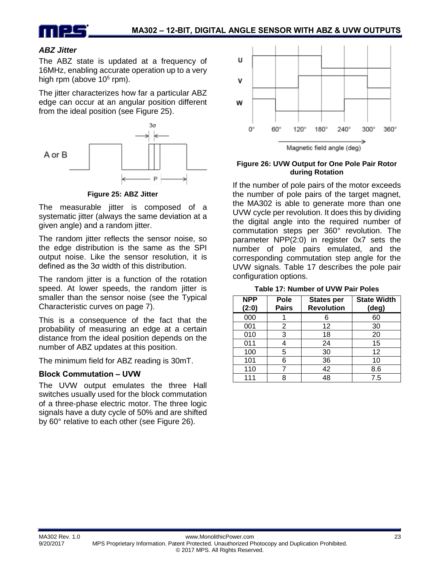

#### *ABZ Jitter*

The ABZ state is updated at a frequency of 16MHz, enabling accurate operation up to a very high rpm (above  $10<sup>5</sup>$  rpm).

The jitter characterizes how far a particular ABZ edge can occur at an angular position different from the ideal position (see Figure 25).



**Figure 25: ABZ Jitter** 

The measurable jitter is composed of a systematic jitter (always the same deviation at a given angle) and a random jitter.

The random jitter reflects the sensor noise, so the edge distribution is the same as the SPI output noise. Like the sensor resolution, it is defined as the 3σ width of this distribution.

The random jitter is a function of the rotation speed. At lower speeds, the random jitter is smaller than the sensor noise (see the Typical Characteristic curves on page 7).

This is a consequence of the fact that the probability of measuring an edge at a certain distance from the ideal position depends on the number of ABZ updates at this position.

The minimum field for ABZ reading is 30mT.

#### **Block Commutation – UVW**

The UVW output emulates the three Hall switches usually used for the block commutation of a three-phase electric motor. The three logic signals have a duty cycle of 50% and are shifted by 60° relative to each other (see Figure 26).



Magnetic field angle (deg)

#### **Figure 26: UVW Output for One Pole Pair Rotor during Rotation**

If the number of pole pairs of the motor exceeds the number of pole pairs of the target magnet, the MA302 is able to generate more than one UVW cycle per revolution. It does this by dividing the digital angle into the required number of commutation steps per 360° revolution. The parameter NPP(2:0) in register 0x7 sets the number of pole pairs emulated, and the corresponding commutation step angle for the UVW signals. Table 17 describes the pole pair configuration options.

**Table 17: Number of UVW Pair Poles**

| <b>NPP</b><br>(2:0) | Pole<br><b>Pairs</b> | <b>States per</b><br><b>Revolution</b> | <b>State Width</b><br>(deg) |
|---------------------|----------------------|----------------------------------------|-----------------------------|
| 000                 |                      | 6                                      | 60                          |
| 001                 | 2                    | 12                                     | 30                          |
| 010                 | 3                    | 18                                     | 20                          |
| 011                 |                      | 24                                     | 15                          |
| 100                 | 5                    | 30                                     | 12                          |
| 101                 | հ                    | 36                                     | 10                          |
| 110                 |                      | 42                                     | 8.6                         |
| 111                 |                      | 48                                     | 7.5                         |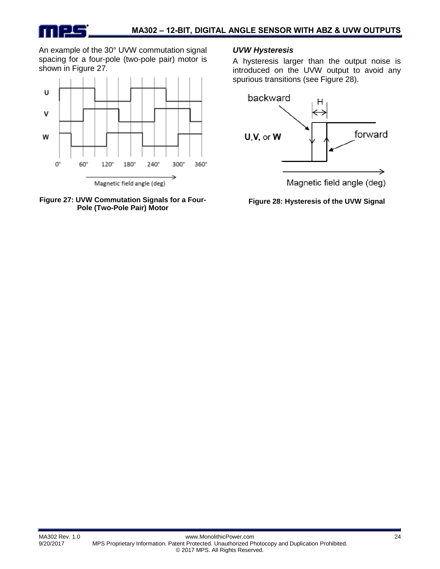An example of the 30° UVW commutation signal spacing for a four-pole (two-pole pair) motor is shown in Figure 27.





#### *UVW Hysteresis*

A hysteresis larger than the output noise is introduced on the UVW output to avoid any spurious transitions (see Figure 28).



**Figure 28: Hysteresis of the UVW Signal**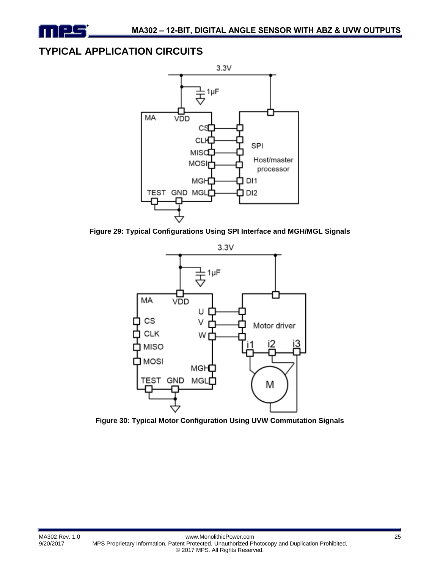

### **TYPICAL APPLICATION CIRCUITS**



**Figure 29: Typical Configurations Using SPI Interface and MGH/MGL Signals**



**Figure 30: Typical Motor Configuration Using UVW Commutation Signals**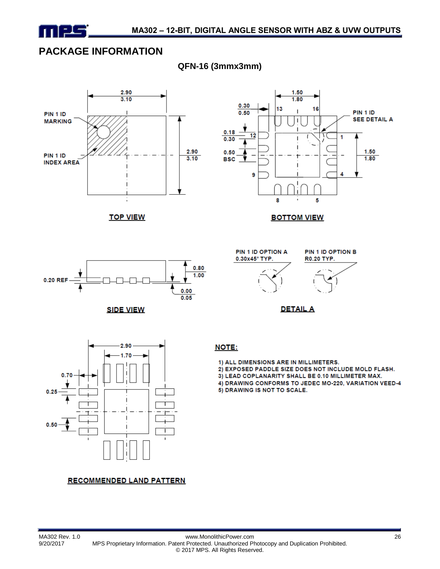

### **PACKAGE INFORMATION**



**QFN-16 (3mmx3mm)**

### **RECOMMENDED LAND PATTERN**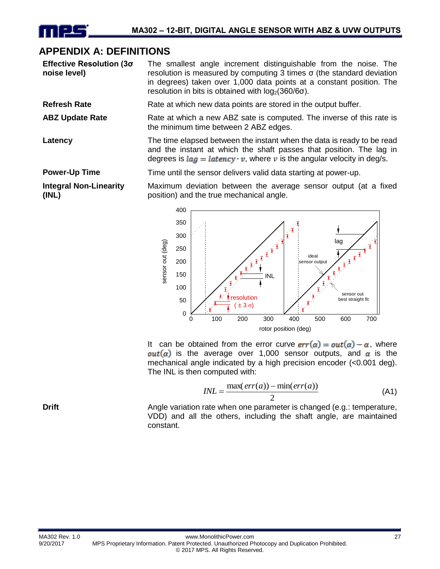### **APPENDIX A: DEFINITIONS**

**Effective Resolution (3σ noise level)** The smallest angle increment distinguishable from the noise. The resolution is measured by computing 3 times σ (the standard deviation in degrees) taken over 1,000 data points at a constant position. The resolution in bits is obtained with  $log<sub>2</sub>(360/6σ)$ .

**Refresh Rate** Rate at which new data points are stored in the output buffer.

ABZ Update Rate **Rate** Rate at which a new ABZ sate is computed. The inverse of this rate is the minimum time between 2 ABZ edges.

**Latency** The time elapsed between the instant when the data is ready to be read and the instant at which the shaft passes that position. The lag in degrees is  $la = laterov \cdot v$ , where v is the angular velocity in deg/s.

**Power-Up Time** Time until the sensor delivers valid data starting at power-up.

**Integral Non-Linearity (INL)**

Maximum deviation between the average sensor output (at a fixed position) and the true mechanical angle.



It can be obtained from the error curve  $err(\alpha) = out(\alpha) - \alpha$ , where  $out(\alpha)$  is the average over 1,000 sensor outputs, and  $\alpha$  is the mechanical angle indicated by a high precision encoder (<0.001 deg). The INL is then computed with:

$$
INL = \frac{\max(err(a)) - \min(err(a))}{2}
$$
 (A1)

**Drift Angle variation rate when one parameter is changed (e.g.: temperature, properature,** VDD) and all the others, including the shaft angle, are maintained constant.